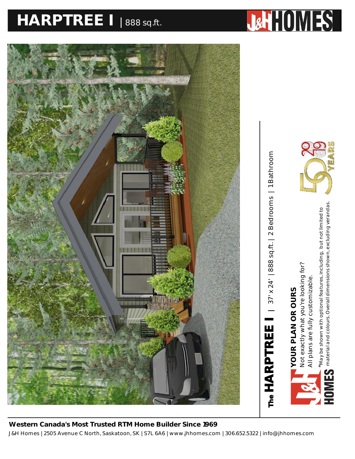## **HARPTREE I** <sup>|</sup> 888 sq.ft. **HARPTREE I PLAN |** 37' X 24' **|** 888 SQ.FT.



Bathroom

*material and colours. Overall dimensions shown, excluding verandas.*material and colours. Overall dimensions shown, excluding verandas May be shown with optional features, including, but not limited to *\*May be shown with optional features, including, but not limited to* All plans are fully customizable. All plans are fully customizable.

**YOUR PLAN OR OURS** 

YOUR PLAN OR OURS

Not exactly what you're looking for?

Not exactly what you're looking for?

J&H Homes | 2505 Avenue C North, Saskatoon, SK | S7L 6A6 | www.jhhomes.com | 306.652.5322 | info@jhhomes.com